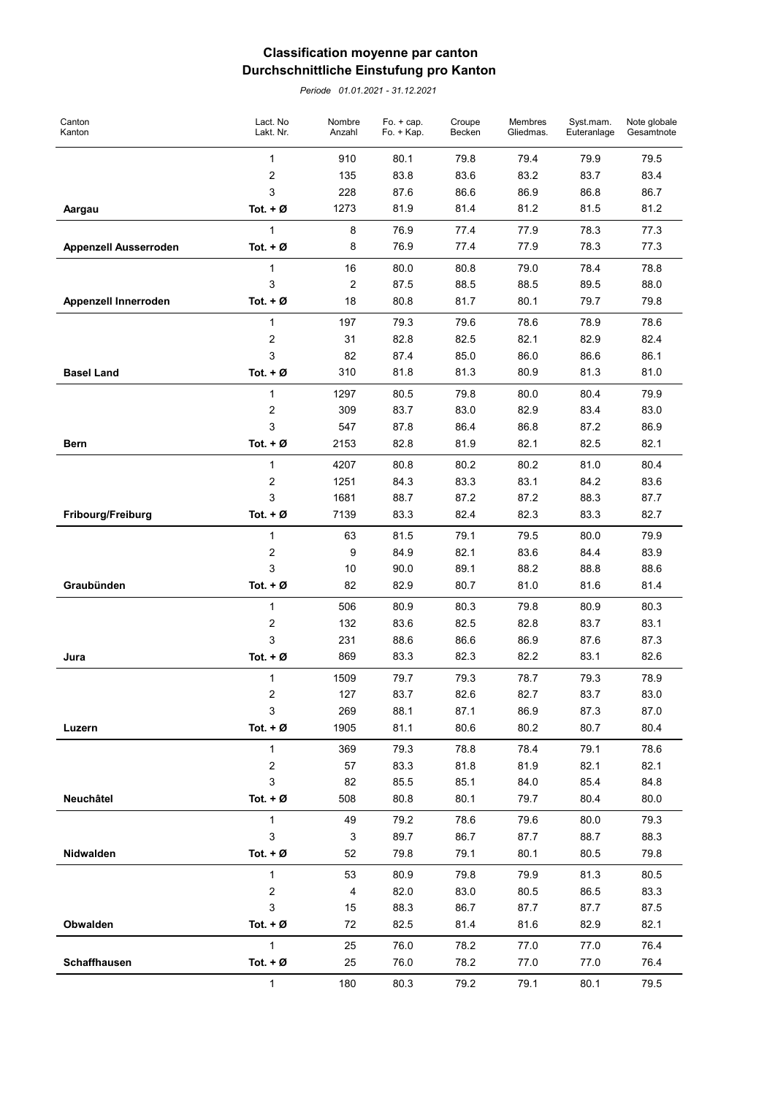## Classification moyenne par canton Durchschnittliche Einstufung pro Kanton

Periode 01.01.2021 - 31.12.2021

| Canton<br>Kanton      | Lact. No<br>Lakt. Nr. | Nombre<br>Anzahl     | Fo. $+$ cap.<br>Fo. + Kap. | Croupe<br>Becken | Membres<br>Gliedmas. | Syst.mam.<br>Euteranlage | Note globale<br>Gesamtnote |
|-----------------------|-----------------------|----------------------|----------------------------|------------------|----------------------|--------------------------|----------------------------|
|                       | $\mathbf{1}$          | 910                  | 80.1                       | 79.8             | 79.4                 | 79.9                     | 79.5                       |
|                       | 2                     | 135                  | 83.8                       | 83.6             | 83.2                 | 83.7                     | 83.4                       |
|                       | 3                     | 228                  | 87.6                       | 86.6             | 86.9                 | 86.8                     | 86.7                       |
| Aargau                | Tot. $+$ Ø            | 1273                 | 81.9                       | 81.4             | 81.2                 | 81.5                     | 81.2                       |
|                       | 1                     | 8                    | 76.9                       | 77.4             | 77.9                 | 78.3                     | 77.3                       |
| Appenzell Ausserroden | Tot. $+$ Ø            | 8                    | 76.9                       | 77.4             | 77.9                 | 78.3                     | 77.3                       |
|                       | 1                     | 16                   | 80.0                       | 80.8             | 79.0                 | 78.4                     | 78.8                       |
|                       | 3                     | $\sqrt{2}$           | 87.5                       | 88.5             | 88.5                 | 89.5                     | 88.0                       |
| Appenzell Innerroden  | Tot. $+$ Ø            | 18                   | 80.8                       | 81.7             | 80.1                 | 79.7                     | 79.8                       |
|                       | $\mathbf{1}$          | 197                  | 79.3                       | 79.6             | 78.6                 | 78.9                     | 78.6                       |
|                       | 2                     | 31                   | 82.8                       | 82.5             | 82.1                 | 82.9                     | 82.4                       |
|                       | 3                     | 82                   | 87.4                       | 85.0             | 86.0                 | 86.6                     | 86.1                       |
| <b>Basel Land</b>     | Tot. $+$ Ø            | 310                  | 81.8                       | 81.3             | 80.9                 | 81.3                     | 81.0                       |
|                       | $\mathbf{1}$          | 1297                 | 80.5                       | 79.8             | 80.0                 | 80.4                     | 79.9                       |
|                       | 2                     | 309                  | 83.7                       | 83.0             | 82.9                 | 83.4                     | 83.0                       |
|                       | 3                     | 547                  | 87.8                       | 86.4             | 86.8                 | 87.2                     | 86.9                       |
| Bern                  | Tot. $+$ Ø            | 2153                 | 82.8                       | 81.9             | 82.1                 | 82.5                     | 82.1                       |
|                       | $\mathbf{1}$          | 4207                 | 80.8                       | 80.2             | 80.2                 | 81.0                     | 80.4                       |
|                       | 2                     | 1251                 | 84.3                       | 83.3             | 83.1                 | 84.2                     | 83.6                       |
|                       | 3                     | 1681                 | 88.7                       | 87.2             | 87.2                 | 88.3                     | 87.7                       |
| Fribourg/Freiburg     | Tot. $+$ Ø            | 7139                 | 83.3                       | 82.4             | 82.3                 | 83.3                     | 82.7                       |
|                       | $\mathbf{1}$          | 63                   | 81.5                       | 79.1             | 79.5                 | 80.0                     | 79.9                       |
|                       | 2                     | 9                    | 84.9                       | 82.1             | 83.6                 | 84.4                     | 83.9                       |
|                       | 3                     | 10                   | 90.0                       | 89.1             | 88.2                 | 88.8                     | 88.6                       |
| Graubünden            | Tot. $+$ Ø            | 82                   | 82.9                       | 80.7             | 81.0                 | 81.6                     | 81.4                       |
|                       | 1                     | 506                  | 80.9                       | 80.3             | 79.8                 | 80.9                     | 80.3                       |
|                       | 2                     | 132                  | 83.6                       | 82.5             | 82.8                 | 83.7                     | 83.1                       |
|                       | 3                     | 231                  | 88.6                       | 86.6             | 86.9                 | 87.6                     | 87.3                       |
| Jura                  | Tot. $+$ Ø            | 869                  | 83.3                       | 82.3             | 82.2                 | 83.1                     | 82.6                       |
|                       | 1                     | 1509                 | 79.7                       | 79.3             | 78.7                 | 79.3                     | 78.9                       |
|                       | $\overline{2}$        | 127                  | 83.7                       | 82.6             | 82.7                 | 83.7                     | 83.0                       |
|                       | 3<br>Tot. $+$ Ø       | 269                  | 88.1                       | 87.1             | 86.9                 | 87.3                     | 87.0                       |
| Luzern                |                       | 1905                 | 81.1                       | 80.6             | 80.2                 | 80.7                     | 80.4                       |
|                       | $\mathbf{1}$          | 369                  | 79.3                       | 78.8             | 78.4                 | 79.1                     | 78.6                       |
|                       | $\sqrt{2}$<br>3       | 57                   | 83.3                       | 81.8             | 81.9                 | 82.1<br>85.4             | 82.1                       |
| Neuchâtel             | Tot. $+$ Ø            | 82<br>508            | 85.5<br>80.8               | 85.1<br>80.1     | 84.0<br>79.7         | 80.4                     | 84.8<br>80.0               |
|                       |                       |                      |                            |                  |                      |                          |                            |
|                       | $\mathbf{1}$<br>3     | 49<br>$\sqrt{3}$     | 79.2                       | 78.6             | 79.6                 | 80.0                     | 79.3                       |
| Nidwalden             | Tot. $+$ Ø            | 52                   | 89.7<br>79.8               | 86.7<br>79.1     | 87.7<br>80.1         | 88.7<br>80.5             | 88.3<br>79.8               |
|                       |                       |                      |                            |                  |                      |                          |                            |
|                       | $\mathbf{1}$          | 53                   | 80.9                       | 79.8             | 79.9                 | 81.3                     | 80.5                       |
|                       | 2<br>3                | $\overline{4}$<br>15 | 82.0<br>88.3               | 83.0<br>86.7     | 80.5<br>87.7         | 86.5<br>87.7             | 83.3<br>87.5               |
| Obwalden              | Tot. $+$ Ø            | 72                   | 82.5                       | 81.4             | 81.6                 | 82.9                     | 82.1                       |
|                       | $\mathbf{1}$          |                      |                            |                  |                      |                          |                            |
| Schaffhausen          | Tot. $+$ Ø            | 25<br>25             | 76.0<br>76.0               | 78.2<br>78.2     | 77.0<br>77.0         | 77.0<br>77.0             | 76.4<br>76.4               |
|                       |                       |                      |                            |                  |                      |                          |                            |
|                       | $\mathbf{1}$          | 180                  | 80.3                       | 79.2             | 79.1                 | 80.1                     | 79.5                       |